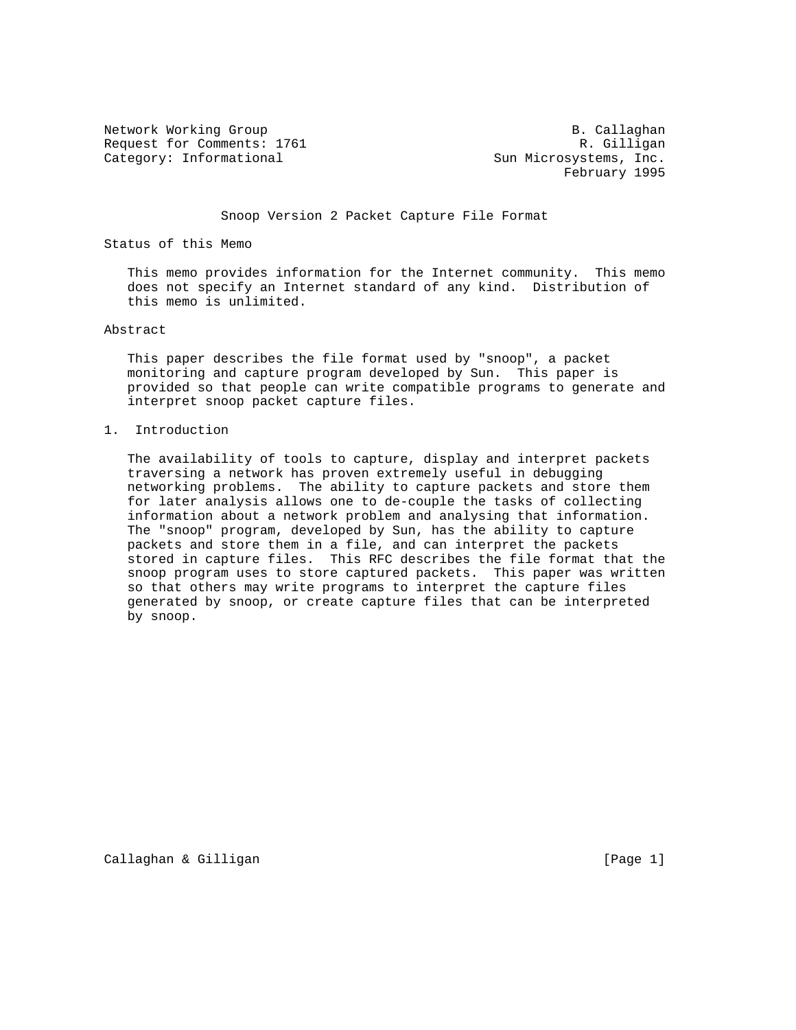Network Working Group and B. Callaghan B. Callaghan Request for Comments: 1761 R. Gilligan Category: Informational Sun Microsystems, Inc.

February 1995

Snoop Version 2 Packet Capture File Format

Status of this Memo

 This memo provides information for the Internet community. This memo does not specify an Internet standard of any kind. Distribution of this memo is unlimited.

### Abstract

 This paper describes the file format used by "snoop", a packet monitoring and capture program developed by Sun. This paper is provided so that people can write compatible programs to generate and interpret snoop packet capture files.

#### 1. Introduction

 The availability of tools to capture, display and interpret packets traversing a network has proven extremely useful in debugging networking problems. The ability to capture packets and store them for later analysis allows one to de-couple the tasks of collecting information about a network problem and analysing that information. The "snoop" program, developed by Sun, has the ability to capture packets and store them in a file, and can interpret the packets stored in capture files. This RFC describes the file format that the snoop program uses to store captured packets. This paper was written so that others may write programs to interpret the capture files generated by snoop, or create capture files that can be interpreted by snoop.

Callaghan & Gilligan **Exercise Callaghan & Gilligan**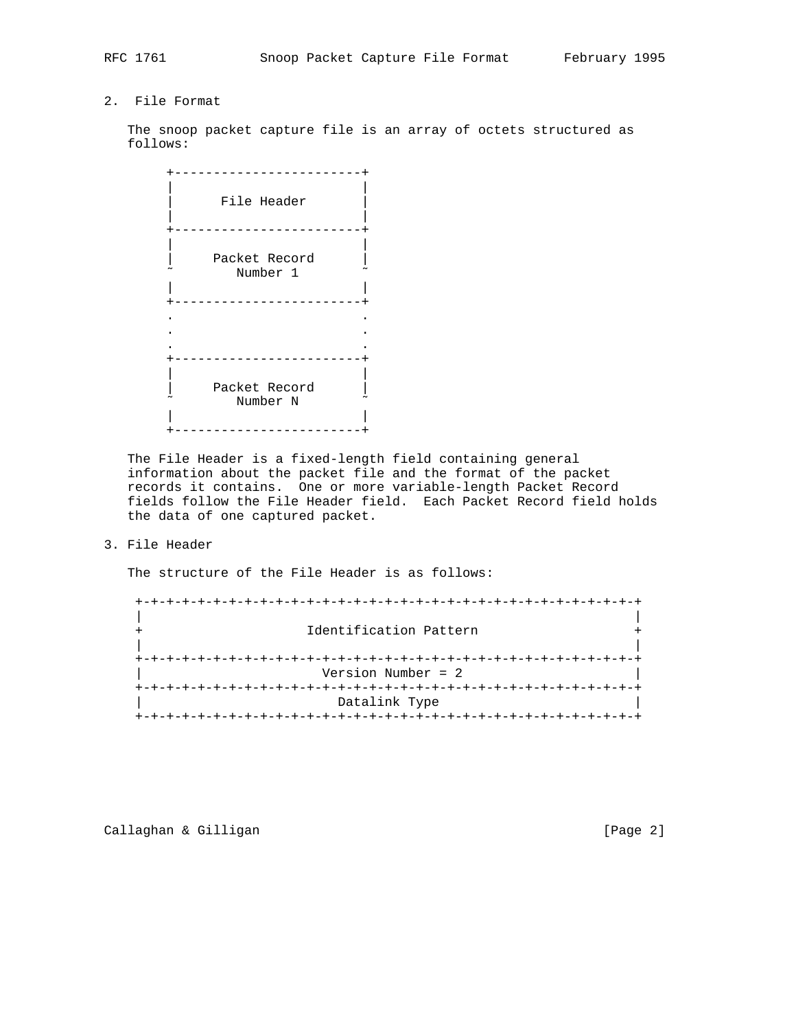# 2. File Format

 The snoop packet capture file is an array of octets structured as follows:

| File Header               |
|---------------------------|
| Packet Record<br>Number 1 |
|                           |
| Packet Record<br>Number N |

 The File Header is a fixed-length field containing general information about the packet file and the format of the packet records it contains. One or more variable-length Packet Record fields follow the File Header field. Each Packet Record field holds the data of one captured packet.

3. File Header

The structure of the File Header is as follows:

 +-+-+-+-+-+-+-+-+-+-+-+-+-+-+-+-+-+-+-+-+-+-+-+-+-+-+-+-+-+-+-+-+ | | Identification Pattern | | +-+-+-+-+-+-+-+-+-+-+-+-+-+-+-+-+-+-+-+-+-+-+-+-+-+-+-+-+-+-+-+-+ | Version Number = 2 | +-+-+-+-+-+-+-+-+-+-+-+-+-+-+-+-+-+-+-+-+-+-+-+-+-+-+-+-+-+-+-+-+ Datalink Type +-+-+-+-+-+-+-+-+-+-+-+-+-+-+-+-+-+-+-+-+-+-+-+-+-+-+-+-+-+-+-+-+

Callaghan & Gilligan **Exercise 2** and Callaghan & Gilligan **Exercise 2** and Callaghan **Exercise 2** and Callaghan **Exercise 2** and Callaghan **Exercise 2** and Callaghan **Exercise 2** and Callaghan **Exercise 2** and Callaghan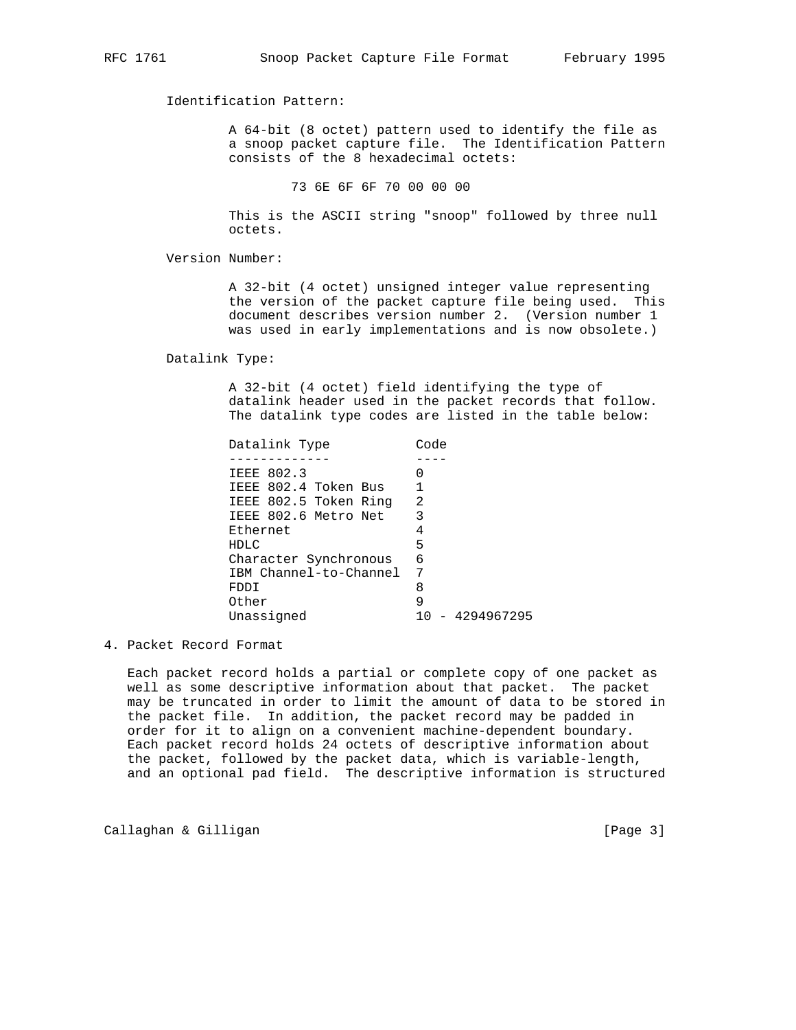Identification Pattern:

 A 64-bit (8 octet) pattern used to identify the file as a snoop packet capture file. The Identification Pattern consists of the 8 hexadecimal octets:

73 6E 6F 6F 70 00 00 00

 This is the ASCII string "snoop" followed by three null octets.

Version Number:

 A 32-bit (4 octet) unsigned integer value representing the version of the packet capture file being used. This document describes version number 2. (Version number 1 was used in early implementations and is now obsolete.)

Datalink Type:

 A 32-bit (4 octet) field identifying the type of datalink header used in the packet records that follow. The datalink type codes are listed in the table below:

| Datalink Type          | Code            |
|------------------------|-----------------|
|                        |                 |
| IEEE 802.3             |                 |
| IEEE 802.4 Token Bus   |                 |
| IEEE 802.5 Token Ring  | 2               |
| IEEE 802.6 Metro Net   |                 |
| Ethernet               |                 |
| HDLC                   | 5               |
| Character Synchronous  | 6               |
| IBM Channel-to-Channel | 7               |
| FDDI                   | 8               |
| Other                  | 9               |
| Unassigned             | 10 - 4294967295 |

4. Packet Record Format

 Each packet record holds a partial or complete copy of one packet as well as some descriptive information about that packet. The packet may be truncated in order to limit the amount of data to be stored in the packet file. In addition, the packet record may be padded in order for it to align on a convenient machine-dependent boundary. Each packet record holds 24 octets of descriptive information about the packet, followed by the packet data, which is variable-length, and an optional pad field. The descriptive information is structured

Callaghan & Gilligan is a controller to the control of the control of the control of the control of the control of  $[Page 3]$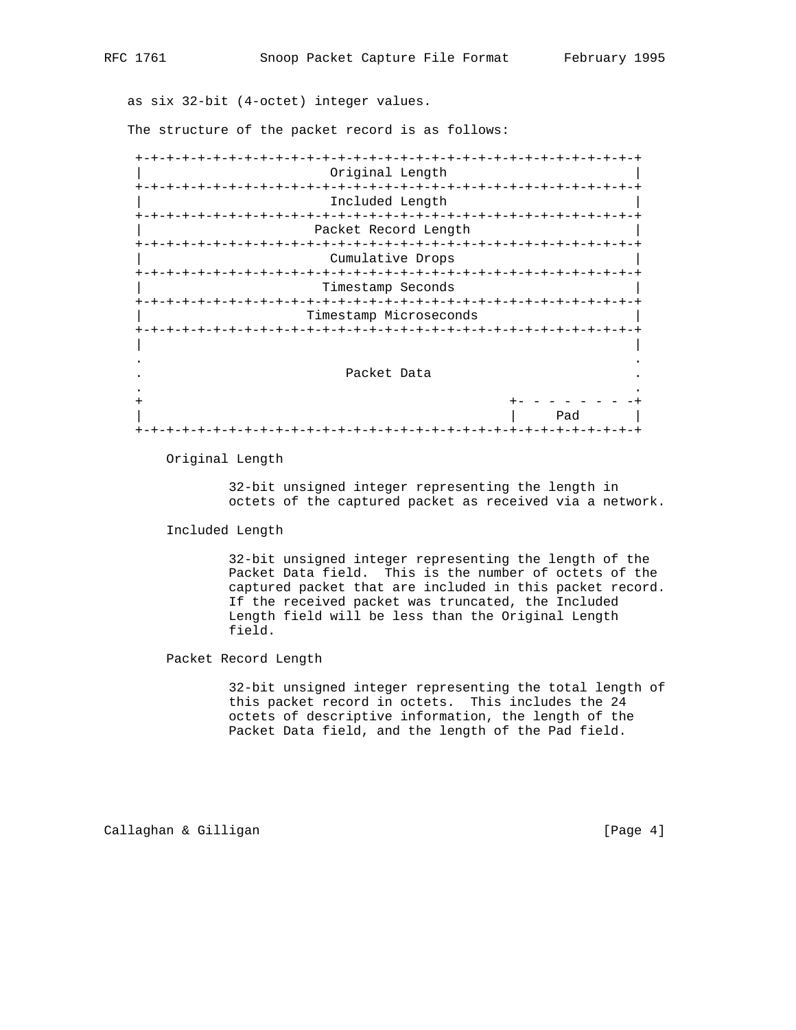as six 32-bit (4-octet) integer values.

The structure of the packet record is as follows:

| Original Length                  |                                      |
|----------------------------------|--------------------------------------|
| $-+ - + - + - + - + - +$         | $-+ - + - + - + - + - + - +$         |
| Included Length                  |                                      |
| -+-+-+-+-+-+-+-+-+-+-+-+-+-+-+-+ |                                      |
| Packet Record Length             |                                      |
|                                  |                                      |
| Cumulative Drops                 |                                      |
|                                  |                                      |
| Timestamp Seconds                |                                      |
|                                  |                                      |
| Timestamp Microseconds           |                                      |
|                                  |                                      |
|                                  |                                      |
|                                  |                                      |
|                                  |                                      |
| Packet Data                      |                                      |
|                                  |                                      |
|                                  |                                      |
|                                  | Pad                                  |
| +-+-+-+-+-+-+-+-+-+-+-+-+-+-+-   | -+-+-+-+-+-+-+-+-+-+-+-+-+-+-+-+-+-+ |

Original Length

 32-bit unsigned integer representing the length in octets of the captured packet as received via a network.

Included Length

 32-bit unsigned integer representing the length of the Packet Data field. This is the number of octets of the captured packet that are included in this packet record. If the received packet was truncated, the Included Length field will be less than the Original Length field.

Packet Record Length

 32-bit unsigned integer representing the total length of this packet record in octets. This includes the 24 octets of descriptive information, the length of the Packet Data field, and the length of the Pad field.

Callaghan & Gilligan **Exercise 2** (Page 4)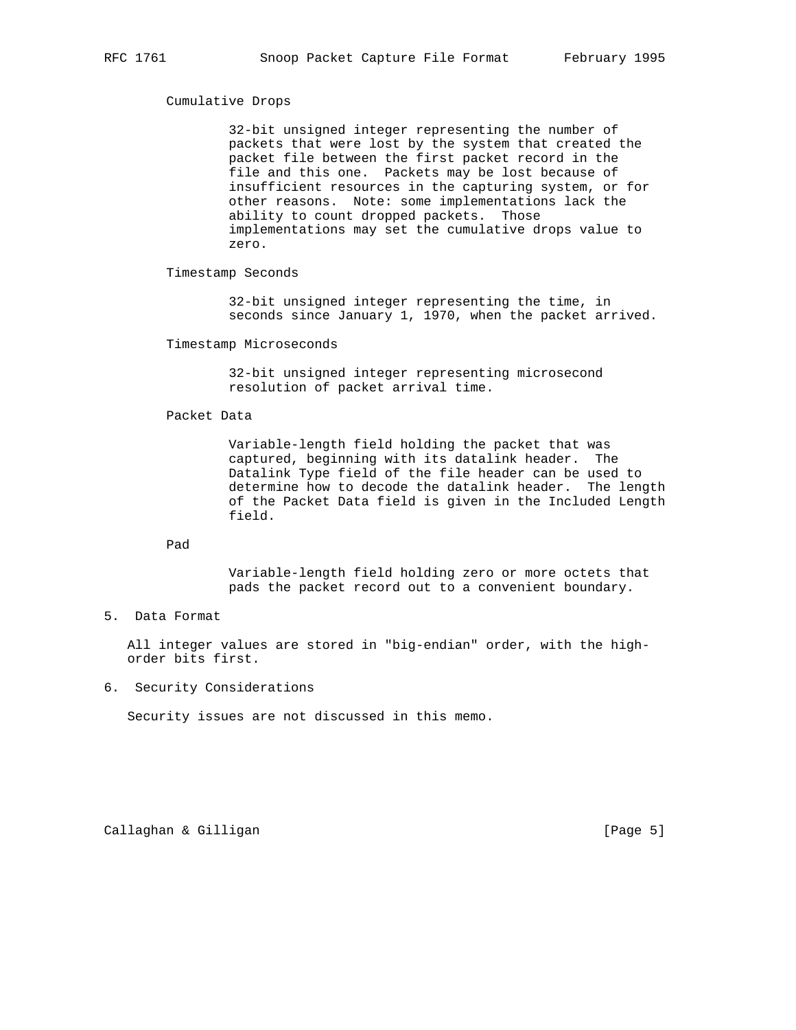#### Cumulative Drops

 32-bit unsigned integer representing the number of packets that were lost by the system that created the packet file between the first packet record in the file and this one. Packets may be lost because of insufficient resources in the capturing system, or for other reasons. Note: some implementations lack the ability to count dropped packets. Those implementations may set the cumulative drops value to zero.

Timestamp Seconds

 32-bit unsigned integer representing the time, in seconds since January 1, 1970, when the packet arrived.

Timestamp Microseconds

 32-bit unsigned integer representing microsecond resolution of packet arrival time.

## Packet Data

 Variable-length field holding the packet that was captured, beginning with its datalink header. The Datalink Type field of the file header can be used to determine how to decode the datalink header. The length of the Packet Data field is given in the Included Length field.

Pad

 Variable-length field holding zero or more octets that pads the packet record out to a convenient boundary.

# 5. Data Format

 All integer values are stored in "big-endian" order, with the high order bits first.

6. Security Considerations

Security issues are not discussed in this memo.